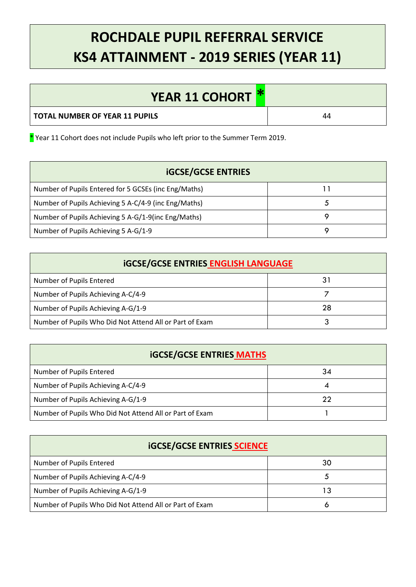## **ROCHDALE PUPIL REFERRAL SERVICE KS4 ATTAINMENT - 2019 SERIES (YEAR 11)**

| YEAR 11 COHORT *               |    |
|--------------------------------|----|
| TOTAL NUMBER OF YEAR 11 PUPILS | 44 |

\* Year 11 Cohort does not include Pupils who left prior to the Summer Term 2019.

| <b>iGCSE/GCSE ENTRIES</b>                            |  |  |
|------------------------------------------------------|--|--|
| Number of Pupils Entered for 5 GCSEs (inc Eng/Maths) |  |  |
| Number of Pupils Achieving 5 A-C/4-9 (inc Eng/Maths) |  |  |
| Number of Pupils Achieving 5 A-G/1-9(inc Eng/Maths)  |  |  |
| Number of Pupils Achieving 5 A-G/1-9                 |  |  |

| <b>iGCSE/GCSE ENTRIES ENGLISH LANGUAGE</b>              |    |  |
|---------------------------------------------------------|----|--|
| Number of Pupils Entered                                | 31 |  |
| Number of Pupils Achieving A-C/4-9                      |    |  |
| Number of Pupils Achieving A-G/1-9                      | 28 |  |
| Number of Pupils Who Did Not Attend All or Part of Exam |    |  |

| <b>iGCSE/GCSE ENTRIES MATHS</b>                         |    |  |
|---------------------------------------------------------|----|--|
| Number of Pupils Entered                                | 34 |  |
| Number of Pupils Achieving A-C/4-9                      | 4  |  |
| Number of Pupils Achieving A-G/1-9                      | 22 |  |
| Number of Pupils Who Did Not Attend All or Part of Exam |    |  |

| <b>iGCSE/GCSE ENTRIES SCIENCE</b>                       |    |  |
|---------------------------------------------------------|----|--|
| Number of Pupils Entered                                | 30 |  |
| Number of Pupils Achieving A-C/4-9                      | C  |  |
| Number of Pupils Achieving A-G/1-9                      | 13 |  |
| Number of Pupils Who Did Not Attend All or Part of Exam | O  |  |